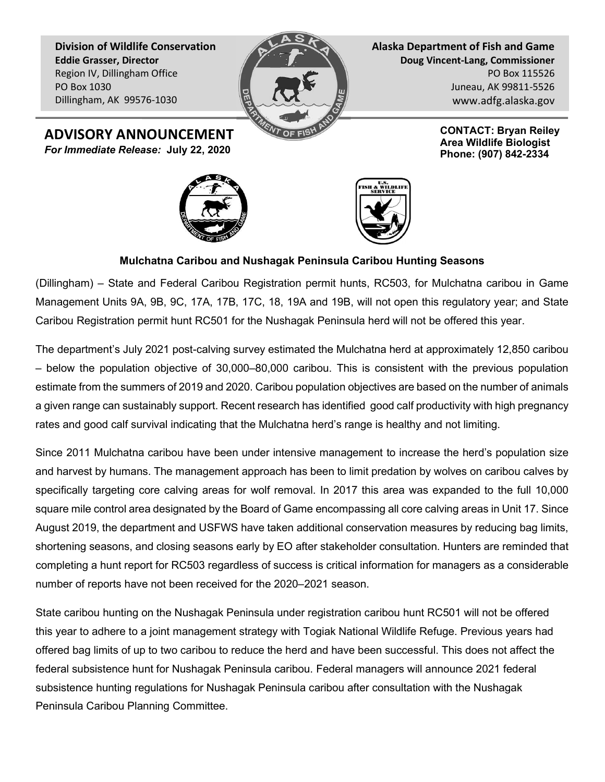Division of Wildlife Conservation Eddie Grasser, Director Region IV, Dillingham Office PO Box 1030 Dillingham, AK 99576-1030



Alaska Department of Fish and Game Doug Vincent-Lang, Commissioner PO Box 115526 Juneau, AK 99811-5526 www.adfg.alaska.gov

> CONTACT: Bryan Reiley Area Wildlife Biologist Phone: (907) 842-2334

ADVISORY ANNOUNCEMENT For Immediate Release: July 22, 2020





## Mulchatna Caribou and Nushagak Peninsula Caribou Hunting Seasons

(Dillingham) – State and Federal Caribou Registration permit hunts, RC503, for Mulchatna caribou in Game Management Units 9A, 9B, 9C, 17A, 17B, 17C, 18, 19A and 19B, will not open this regulatory year; and State Caribou Registration permit hunt RC501 for the Nushagak Peninsula herd will not be offered this year.

The department's July 2021 post-calving survey estimated the Mulchatna herd at approximately 12,850 caribou – below the population objective of 30,000–80,000 caribou. This is consistent with the previous population estimate from the summers of 2019 and 2020. Caribou population objectives are based on the number of animals a given range can sustainably support. Recent research has identified good calf productivity with high pregnancy rates and good calf survival indicating that the Mulchatna herd's range is healthy and not limiting.

Since 2011 Mulchatna caribou have been under intensive management to increase the herd's population size and harvest by humans. The management approach has been to limit predation by wolves on caribou calves by specifically targeting core calving areas for wolf removal. In 2017 this area was expanded to the full 10,000 square mile control area designated by the Board of Game encompassing all core calving areas in Unit 17. Since August 2019, the department and USFWS have taken additional conservation measures by reducing bag limits, shortening seasons, and closing seasons early by EO after stakeholder consultation. Hunters are reminded that completing a hunt report for RC503 regardless of success is critical information for managers as a considerable number of reports have not been received for the 2020–2021 season.

State caribou hunting on the Nushagak Peninsula under registration caribou hunt RC501 will not be offered this year to adhere to a joint management strategy with Togiak National Wildlife Refuge. Previous years had offered bag limits of up to two caribou to reduce the herd and have been successful. This does not affect the federal subsistence hunt for Nushagak Peninsula caribou. Federal managers will announce 2021 federal subsistence hunting regulations for Nushagak Peninsula caribou after consultation with the Nushagak Peninsula Caribou Planning Committee.